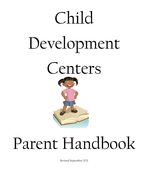### Child

# Development





## Parent Handbook

Revised September 2021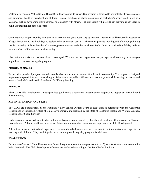Welcome to Fountain Valley School District Child Development Centers. Our program is designed to promote the physical, mental, and emotional health of preschool age children. Special emphasis is placed on enhancing each child's positive self-image as a learner as well as developing warm personal relationships with others. The curriculum will provide key learning experiences to build a foundation for school success.

Our Programs are open Monday through Friday, 10 months a year; hours vary by location. The centers will be closed in observance of legal holidays and local holidays as designated in enrollment packets. The centers provide morning and afternoon (full day) snacks consisting of fruits, breads and crackers, protein sources, and other nutritious foods. Lunch is provided for full day students and/or student will bring sack lunch each day.

Observations and visits are welcomed and encouraged. We are more than happy to answer, on a personal basis, any questions you might have been concerning the program.

### **PROGRAM GOALS**

To provide a preschool program in a safe, comfortable, and secure environment for the entire community. The program is designed to promote responsibility, decision making, social development, self-confidence, and personal growth while meeting developmental needs of each child and a solid foundation for lifelong learning.

### **PURPOSE**

The FVSD Child Development Centers provides quality child care services that strengthen, support, and supplement the family and the community.

### **ADMINISTRATION AND STAFF**

The CDCs are administered by the Fountain Valley School District Board of Education in agreement with the California Department of Education, Office of Child Development, and licensed by the State of California Health and Welfare Agency, Department of Social Services.

Each classroom is staffed by a teacher holding a Teacher Permit issued by the State of California Commission on Teacher Credentialing. All other staff meet necessary District requirements for education and experience in Child Development.

All staff members are trained and experienced early childhood educators who were chosen for their enthusiasm and expertise in working with children. They work together as a team to provide a quality program for children.

### **EVALUATION**

Evaluation of the total Child Development Center Programs is a continuous process with staff, parents, students, and community being involved. The Child Development Centers are evaluated according to the State Evaluation Plan.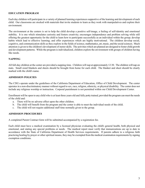### **EDUCATION PROGRAM**

Each day children will participate in a variety of planned learning experiences supportive of the learning and development of each child. Our classrooms are stocked with materials that invite students to learn as they work with manipulatives and explore their environment.

The environment at the centers is set to help the child develop a positive self-image, a feeling of self-identity and emotional stability. It is one which stimulates curiosity and fosters creativity; encourages independence and problem solving while still offering the greatest opportunity for the child to learn how to participate successfully as an individual within the group; develop habits which lead to effective learning; and offer experiences which are highly motivational. The children develop social, cognitive, and communication skills as they explore in the fields of science, mathematics, art, music, and the social sciences. Much attention is given to the children's development of motor skills. The activities which are planned are designed to foster child growth and development patterns. While the program is individualized, children explore the environment with groups of children having like needs.

### **NAPPING**

All full-day children at the center are provided a napping time. Children will nap at approximately 12:30. The children will nap on mats. Small sized blankets and sheets should be brought from home for each child. The blanket and sheet should be clearly marked with the child's name.

### **ADMISSION POLICIES**

The CDCs operate under the guidelines of the California Department of Education, Office of Child Development. The center operates in a non-discriminatory manner without regard to sex, race, religion, ethnicity, or physical disability. The center does not include any religious worship or instruction. Corporal punishment is not permitted within our Child Development Center.

Enrollment will be open to any child who is at least three years old and fully potty trained, provided the program can meet the needs of the child and:

- a. There will be no adverse effect upon the other children.
- b. The child will benefit from the program and the center is able to meet the individual needs of the child.
- c. The child will not require additional staff time normally given to the group.

### **ADMISSION PROCEDURES**

A completed Parent Contract form will be submitted accompanied by a registration fee.

Each child must have a medical examination by a licensed physician evaluating the child's general health, both physical and emotional, and stating any special problems or needs. The medical report must verify that immunizations are up to date in accordance with the State of California Department of Health Services requirements. If parents adhere to a religious faith practicing healing by prayer or other spiritual means, they may be exempted from the medical examination requirements by signing exemption conditions.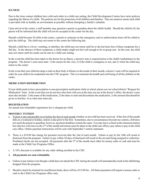### **ILLNESS**

Due to the close contact children have with each other in a child care setting, the Child Development Centers have strict policies regarding the illness of a child. The policies are for the protection of all children and families. They are meant to ensure each child is provided with as healthy an environment as possible without disrupting a family's schedule.

Upon arrival at the center, a staff member may question a parent or guardian about the child's health. Should the child be ill, the parent will be informed that the child will not be accepted at the center for the day.

Should a child become ill while at the center, a parent or someone on the emergency card or authorization form will be called to pick the child up. The child may not return to the center the following day.

Should a child have a fever, vomiting, or diarrhea, the child may not return until he or she has been free of these symptoms for a full day. In the absence of these symptoms, a child simply might not feel well enough to be in group care. In this case, the child may not return until his needs can be met in a child care setting.

In the event the child has been taken to the doctor for an illness, a doctor's note is required prior to the child's readmittance to the program. The doctor's note must state: 1) the reason for the visit, 2) if the child is contagious or not, and 3) when the child may return to the center.

In the event that your child develops a rash on their body or blisters in the inside of their mouth, a doctor's note will be required in order for your child to be readmitted into the CDC program. This is to maintain the health and well-being of all the children in the center.

### **MEDICATION DISTRIBUTION**

If your child needs to have prescription or non-prescription medication while at school, please use our school district "Request for Medication" form. In the event that you do not have this form with you at the time you are at the doctor's office, the doctor's note must also include: 1) the name of the medication, 2) the dates to start and discontinue the medication, 3) the amount that should be given to him/her, 4) at what time intervals.

### **REGISTRATION**

An annual non-refundable registration fee is charged per child.

### **MONTHLY TUITION**

- a. Tuition is due and payable on or before the first of each month whether or not a bill has been received. If the first of the month falls on a weekend or holiday, tuition is due prior to the first. Sometimes, due to circumstances beyond our control, a bill does not reach the parent or guardian, however, payment deadlines remain the same. You may leave a check in the classroom tuition box (the box will close on the 2nd of the month and tuition must be taken to the child care office), pay online or pay in the child care office. Online payment instructions will be sent with September's tuition statement.
- b. There is a \$10.00 late charge for payment received after the 2nd of each month. Failure to pay by the 10th will result in dismissal from the program. Failure to pay within 30 days of dismissal will result in the account being assigned to collection. Postdated checks are not accepted. All payments after the  $5<sup>th</sup>$  of the month must either be money order or cash and must be made at the Child Care Programs Office.
- c. A 10% discount is available for any older sibling enrolled in the CDC.

### d. **All payments are non-refundable.**

- e. Failure to pay tuition even though a child does not attend the CDC during the month will automatically result in the child being dropped from the program.
- f. Should a check be returned for insufficient funds, there will be a \$15.00 fee. All future payments will require a money order or cash to the Child Care Programs office only.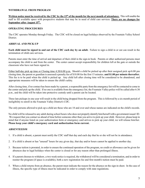### **WITHDRAWAL FROM PROGRAM**

**Written notice must be received by the CDC by the 15th of the month for the next month of attendance.** This will enable the staff to fill available space with prospective students that may be in need of child care services. **There are no changes for September after August 15th.** 

### **OPERATING PROCEDURES**

The CDC operates Monday through Friday. The CDC will be closed on legal holidays observed by the Fountain Valley School District.

### **ARRIVAL AND PICK-UP**

**Each child must be signed in and out of the CDC each day by an adult.** Failure to sign a child in or out can result in the termination of child care services.

Parents must enter the time of arrival and departure of their child in the sign-in book. Parents or other authorized persons must accompany the child to and from the center. The center cannot accept responsibility for children left at the gate or outside the classroom who have not been signed in.

Either half-day pick up time or Closing time 4:30/6:00 p.m. Should a child be picked up after their assigned pick up/6:00 pm closing time, the parent or guardian is assessed a penalty fee of \$10.00 for the first 15 minutes. **and \$1.00 per minute thereafter.**  This fee is to be paid when the child is picked up. Any child left after closing time will be considered to be abandoned, and appropriate measures will be taken to ensure the child's safety.

After closing time, if no contact has been made by a parent, a responsible party from the emergency list will be contacted to come to the center and pick up the child. If no one is available from the emergency list, the Fountain Valley police will be called after 6:30 p.m., and the child will be taken into protective custody until a parent can be located.

Three late pickups in one year will result in the child being dropped from the program. This is followed by a six-month period of ineligibility to enroll in the Fountain Valley District's CDC.

The only persons allowed to pick up a child are those who are 18 and over and whose names are indicated on the child's records.

No child will be released to any adult during school hours who does not properly identify him/herself with a government issued ID. We request that you contact us ahead of time before someone other than you arrive to pick up your child. However, please keep in mind that if anyone listed on your authorization form or emergency card arrives to pick up your child, we will release him/her. **Please keep your child's emergency card and authorization form current.**

### **ABSENTEEISM**

- 1. If a child is absent, a parent must notify the CDC staff that day and each day that he or she will not be in attendance.
- 2. If a child is absent or has "unused" hours for any given day, that day and/or hours cannot be applied to another day.
- 3. Because tuition is prorated, in order to ensure the continued operation of the program, no credit or allowance can be given for absences due to legal holidays when the center is closed or for any reason other than prolonged illness.
- 4. If a parent chooses to withdraw, a two week notice is required, the withdrawal will be considered a termination, and in order to reenter the program (if space is available), both a new registration fee and first month's tuition must be paid.
- 5. When a child returns from an absence, the parent must indicate the reason for the absence on the sign-in sheet. In the case of illness, the specific type of illness must be indicated in order to comply with state regulations.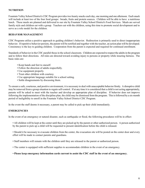### **NUTRITION**

Fountain Valley School District's CDC Program provides two hearty snacks each day, one morning and one afternoon. Each snack will include at least two of the four food groups: breads, fruits and protein sources. Children will be able to have a nutritious lunch. These meals are planned and delivered to our site by Fountain Valley School District's Food Services. Meals are served family style and children eat with a group. Teachers eat with the children, using this time to promote social development and to serve as a role model for the children.

### **BEHAVIOR MANAGEMENT**

CDC Programs utilize a positive approach to guiding children's behavior. Redirection is primarily used to direct inappropriate behavior. If repetitive behavior persists, the parent will be notified and together with the teacher, an action plan will be developed. Consistency is the key to guiding children. Cooperation from the parent is expected and required for continued enrollment.

Standards of behavior in the CDC parallel those in the school classroom. Children are expected to respect the adults in the program and to follow their directions. All rules are directed toward avoiding injury to persons or property while insuring fairness. The basic rules are:

- Keep hands and feet to oneself.
- Follow the direction of adults respectfully.
- Use equipment properly.
- Treat other children with courtesy.
- Use appropriate language suitable for a school setting.
- Settle disagreements by discussing them.

To ensure a safe, courteous, and positive environment, it is necessary to deal with unacceptable behavior firmly. A disruptive child may be removed from a group situation to regain self-control. If at any time it is considered that a child is not acting appropriately, parents will be asked to meet with the teacher and develop an appropriate plan of discipline. If behavior does not improve following the implementation of the discipline plan, the child may be dismissed from the program. This is followed by a six-month period of ineligibility to enroll in the Fountain Valley School District CDC Program.

In the event the staff deems it necessary, a parent may be called to pick up their child immediately.

### **EMERGENCIES**

In the event of an emergency or natural disaster, such as earthquake or flood, the following procedures will be in effect:

• All children will be kept at the center until they are picked up by the parent or other authorized person. A person authorized by the parent to pick up a child will be requested to present identification before the child is released.

• Should it be necessary to evacuate children from the center, the evacuation site will be posted on the center door and every effort will be made to contact parents and guardians.

- Staff members will remain with the children until they are released to the parent or authorized person.
- The center is equipped with sufficient supplies to accommodate children in the event of an emergency.
- **Please keep emergency information cards current to assist the CDC staff in the event of an emergency.**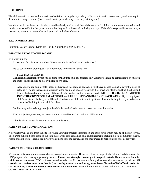### **CLOTHING**

The children will be involved in a variety of activities during the day. Many of the activities will become messy and may require the child to change clothes. (For example, water play, shaving cream art, painting, etc.)

In order to avoid lost items, all clothing should be clearly marked with the child's name. All children should wear play clothes and sturdy shoes suitable for the types of activities they will be involved in during the day. If the child stays until closing time, a sweater or jacket is recommended as it gets cool in the late afternoons.

### **TAX INFORMATION**

Fountain Valley School District's Tax I.D. number is #95-6001370.

### **WHAT TO BRING TO CHILD CARE**

### ALL CHILDREN

• At least two full changes of clothes (Please include lots of socks and underwear.)

Please consider the clothing as it will contribute to the ease of potty time.

### FULL DAY STUDENTS

Blanket and sheet marked with child's name for nap time (full day program only). Blankets should be a small size to fit children and mats. Sheets should be flat twin size or crib size.

According to California State Licensing Laws and Regulations, each child must have a sheet/blanket to cover their cot. It is the CDC policy that each child arrives at the beginning of each week with their sheet and blanket and that the sheet and blanket be taken home at the end of the week to be washed for the following week. **NO CHILD WILL BE ADMITTED INTO THE CDC PROGRAM WITHOUT A CLEAN SHEET AND BLANKET EACH WEEK**. If you forget your child's sheet and blanket, you will be asked to take your child with you to get them. It would be helpful for you to keep an extra set of bedding in your child's cubby.

- Families may wish to bring an object the child is attached to in order to make the transition easier.
- Blankets, jackets, sweaters, and extra clothing should be marked with the child's name.
- A bottle of sun screen lotion with an SPF of at least 30.

### **PARENT/STAFF COMMUNICATION**

A newsletter will go out from the site to provide you with program information and other news which may be of interest to you. The parent bulletin board close to the sign-in area will also contain special announcements including local community events. Please check it often. Parents are always welcome to visit the center, and are encouraged to participate in special activities.

### **PARENT CUSTODY/COURT ORDERS**

We realize that custody situations can be very complex and stressful. However, please be respectful of all staff and children in the CDC program when managing custody matters. **Parents are strongly encouraged to keep all custody disputes away from the child care environment.** CDC staff have been directed to not discuss personal family situations with parents and guardians. **All custody court orders must be authentic (court seals), up-to-date, and a copy must be on file in the CDC office in order for staff to comply with the mandates listed within the documents.** Staff will only follow orders within the court documents. **COMPLAINT PROCEDURE**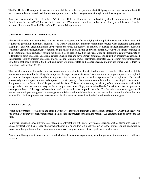The FVSD Child Development Services division staff believe that the quality of the CDC program can improve when the staff listens to complaints, considers differences of opinion, and resolves disagreements though an established process.

Any concerns should be directed to the CDC director. If the problems are not resolved, they should be directed to the Child Development Services (CDS) director. In the event the CDS director is unable to resolve the problem, you will be advised by the program director to follow the District's uniform complaint procedures.

### **UNIFORM COMPLAINT PROCEDURES**

The Board of Education recognizes that the District is responsible for complying with applicable state and federal laws and regulations governing educational programs. The District shall follow uniform complaint procedures when addressing complaints alleging (1) unlawful discrimination in any program or activity that receives or benefits from state financial assistance, based on sex, ethnic group identification, race, national origin, religion, color, mental or physical disability, or any basis that is contained in the prohibition of hate crimes set forth in subdivision (a) of section 422.6 of the Penal Code or (2) failure to comply with state or federal law in adult education, vocational education, child care and development programs, child nutrition programs, consolidated categorical programs, migrant education, and special education programs; (3) instructional materials, emergency or urgent facilities conditions that pose a threat to the health and safety of pupils or staff, and teacher vacancy and mis-assignment, as set forth in Education Code section 35186.

The Board encourages the early, informal resolution of complaints at the site level whenever possible. The Board prohibits retaliation in any form for the filing of a complaint, the reporting of instances of discrimination, or for participation in complaint procedures. Such participation shall not in any way effect the status, grades, or work assignments of the complainant. The Board acknowledges and respects student and employee rights to privacy. Discrimination complaints shall be investigated in a manner that protects the confidentiality of the parties and the facts. This includes keeping the identity of the complainant confidential except to the extent necessary to carry out the investigation or proceedings, as determined by the Superintendent or designee on a case-by-case basis. Other types of complaints and responses thereto are public records. The Superintendent or designee shall ensure that employees designated to investigate complaints are knowledgeable about the laws and programs for which they are responsible. Such employees may have access to legal counsel as determined by the Superintendent or designee.

### **PARENT CONDUCT**

While in the presence of children and staff, parents are expected to maintain a professional demeanor. Other than their own children, parents may not at any time approach children in the program for discipline reasons. All concerns must be directed to the staff.

California Education codes are very clear regarding confrontations with staff. Any parent, guardian, or other person who insults or abuses any teacher in the presence of other school personnel or children at a place which is on school premises or public sidewalks, streets, or other public situations in connection with assigned program activities is guilty of a misdemeanor.

Any conduct by a parent toward staff or a child which is deemed unacceptable may result in permanent termination of child care services.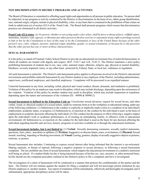### **NON DISCRIMINATION IN DISTRICT PROGRAMS AND ACTIVITIES**

The Board of Education is committed to affording equal rights and opportunities to all persons in public education. No person shall be subjected, in any program or activity conducted by the District, to discrimination on the basis of sex, ethnic group identification, race, national origin, religion, mental or physical disability, color, or any basis that is contained in the prohibition of hate crimes set forth in subdivision (a) of section 422.6 of the Penal Code. The Board shall promote programs which ensure that discriminatory practices are eliminated in all district activities.

**Penal Code 422.6 states**: *(a) No person, whether or not acting under color of law, shall by force or threat of force, willfully injure, intimidate, interfere with, oppress, or threaten any other person in the free exercise or enjoyment of any right or privilege secured to him or her by the Constitution or laws of this state or by the Constitution or laws of the United States because of the other person's race, color, religion, ancestry, national origin, disability, gender, or sexual orientation, or because he or she perceives that the other person has one or more of those characteristics.* 

### **SEXUAL HARASSMENT**

It is the policy as stated of Fountain Valley School District to provide an educational environment free of unlawful harassment, in which all students are treated with dignity and respect. (B.P. 5145.7 and A.R. 5145.7). The District maintains a strict policy prohibiting harassment of students due to sex, race, color, national origin, ethnicity, religion, age, physical or mental disability, blindness, severely impaired vision, or any other basis protected by Federal, State, or local law, ordinance or regulation.

All such harassment is unlawful. The District's anti-harassment policy applies to all persons involved in the District's educational environment and prohibits unlawful harassment by any District student or any employee of the District, including administrators, supervisors, certificated employees, and classified employees. Complaints will be processed in an expedited manner.

Unlawful harassment in any form, including verbal, physical and visual conduct, threats, demands, and retaliation is prohibited. Violation of this policy by an employee may result in discipline, which may include discharge, depending upon the seriousness of the violation. Violation of this policy by another student may result in discipline, which may include suspension or expulsion, depending upon the nature and seriousness of the violation (EC  $48900 \& 48900.2$ ).

**Sexual harassment is defined in the Education Code as:** Unwelcome sexual advances, request for sexual favors, and other verbal, visual, or physical conduct of a sexual nature, made by someone from or in the workplace or educational setting, under any of the following conditions: (1) Submission to the conduct is explicitly or implicitly made a term or a condition of an individual's employment, academic status, or progress; (2) Submission to, or rejection of, the conduct by the individual is used as the basis of employment or academic decisions affecting the individual; (3) The conduct has the purpose or effect of having a negative impact upon the individual's work or academic performance, or of creating an intimidating, hostile, or offensive work or educational environment; (4) Submission to, or rejection of, the conduct by the individual is used as the basis for any decision affecting the individual regarding benefits and services, honors, programs or activities available at or through the educational institution.

**Sexual harassment includes, but is not limited to:** (1) **Verbal:** Sexually demeaning comments, sexually explicit statements, questions, slurs, jokes, anecdotes or epithets; (2) **Written:** Suggestive or obscene letters, notes, or invitations; (3) **Physical:** Sexual assault, touching, impeding or blocking movement; (4) **Visual:** Leering, gestures, display of sexually suggestive objects or pictures, cartoons, or posters.

Sexual harassment also includes: Continuing to express sexual interest after being informed that the interest is un-welcomed. Making reprisals, or threats of reprisal, following a negative response to sexual advances, or following a sexual harassment complaint. The law prohibits any form of sexual harassment, which impairs the educational environment or a student's emotional well being at school. If a student thinks he/she is being harassed because of his/her sex, race, ancestry, or other protected basis, he/she should use the complaint procedure outlined in the District's policy to file a complaint and have it investigated.

The investigation of a claim of harassment will be conducted in a manner that protects the confidentiality of the parties and the facts. The District will not retaliate against the student for filing a complaint and will not knowingly permit retaliation by any District employee or another student. Any report of retaliation will be immediately, effectively and thoroughly investigated, and if substantiated, appropriate disciplinary action will be taken.